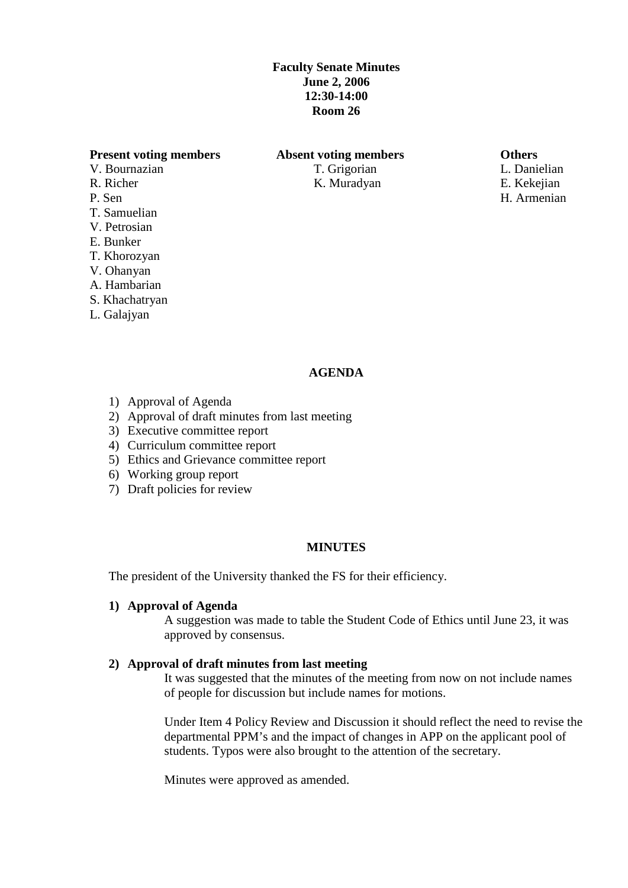# **Faculty Senate Minutes June 2, 2006 12:30-14:00 Room 26**

## **Present voting members Absent voting members Others**

- V. Bournazian T. Grigorian T. Grigorian L. Danielian R. Richer K. Muradyan K. Muradyan E. Kekejian P. Sen H. Armenian T. Samuelian V. Petrosian E. Bunker
- 
- T. Khorozyan
- V. Ohanyan A. Hambarian
- S. Khachatryan
- 
- L. Galajyan

## **AGENDA**

- 1) Approval of Agenda
- 2) Approval of draft minutes from last meeting
- 3) Executive committee report
- 4) Curriculum committee report
- 5) Ethics and Grievance committee report
- 6) Working group report
- 7) Draft policies for review

#### **MINUTES**

The president of the University thanked the FS for their efficiency.

## **1) Approval of Agenda**

A suggestion was made to table the Student Code of Ethics until June 23, it was approved by consensus.

# **2) Approval of draft minutes from last meeting**

It was suggested that the minutes of the meeting from now on not include names of people for discussion but include names for motions.

Under Item 4 Policy Review and Discussion it should reflect the need to revise the departmental PPM's and the impact of changes in APP on the applicant pool of students. Typos were also brought to the attention of the secretary.

Minutes were approved as amended.